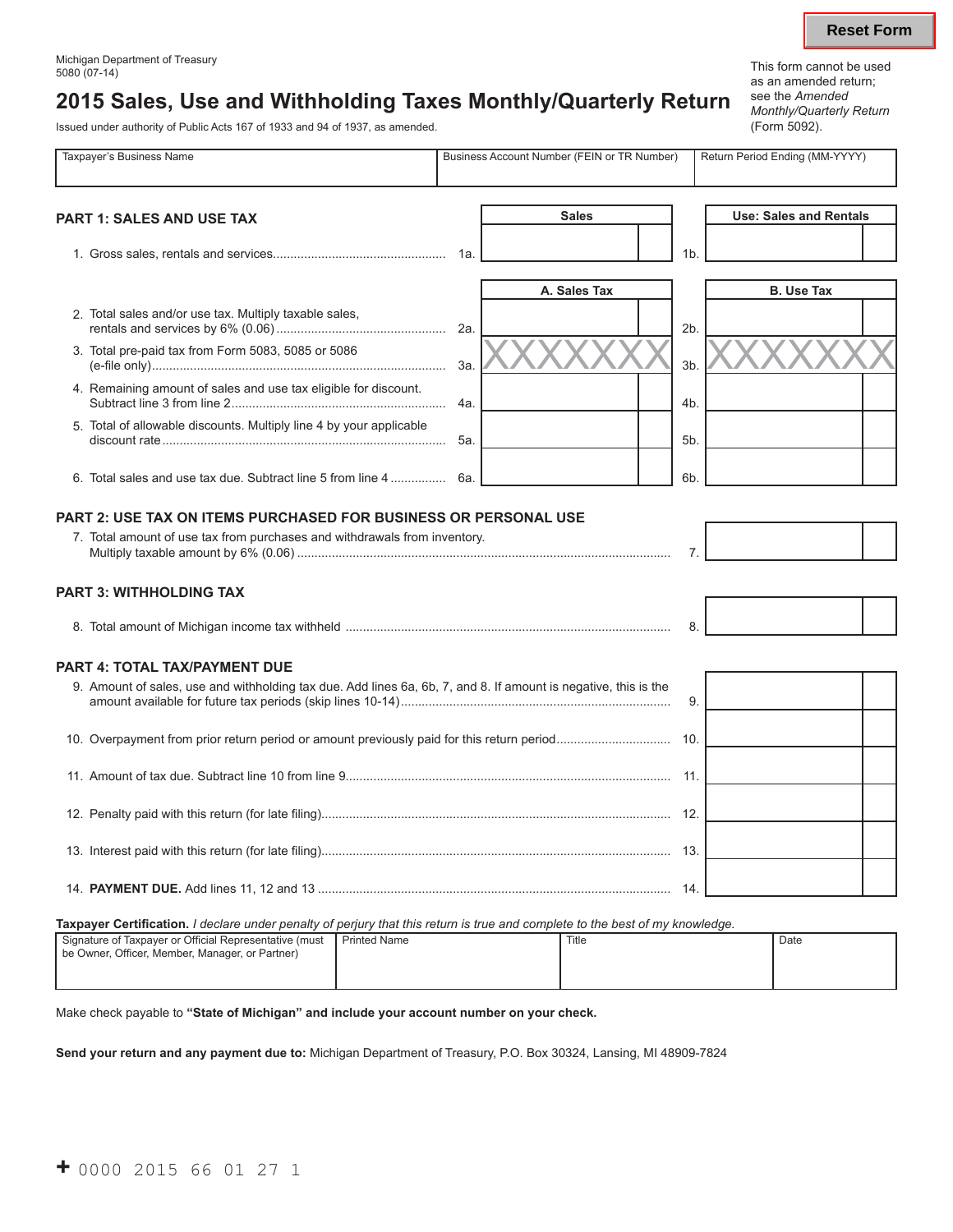# **2015 Sales, Use and Withholding Taxes Monthly/Quarterly Return**

Issued under authority of Public Acts 167 of 1933 and 94 of 1937, as amended.

This form cannot be used as an amended return; see the *Amended Monthly/Quarterly Return* (Form 5092).

| Taxpayer's Business Name                                                                                                                                |     | Business Account Number (FEIN or TR Number) |                | Return Period Ending (MM-YYYY) |
|---------------------------------------------------------------------------------------------------------------------------------------------------------|-----|---------------------------------------------|----------------|--------------------------------|
| <b>PART 1: SALES AND USE TAX</b>                                                                                                                        |     | <b>Sales</b>                                |                | <b>Use: Sales and Rentals</b>  |
|                                                                                                                                                         | 1a. |                                             | 1 <sub>b</sub> |                                |
|                                                                                                                                                         |     | A. Sales Tax                                |                | <b>B. Use Tax</b>              |
| 2. Total sales and/or use tax. Multiply taxable sales,                                                                                                  | 2a. |                                             | 2 <sub>b</sub> |                                |
| 3. Total pre-paid tax from Form 5083, 5085 or 5086                                                                                                      | За. |                                             | 3b.            |                                |
| 4. Remaining amount of sales and use tax eligible for discount.                                                                                         | 4a. |                                             | 4b.            |                                |
| 5. Total of allowable discounts. Multiply line 4 by your applicable                                                                                     | 5a. |                                             | 5b.            |                                |
| 6. Total sales and use tax due. Subtract line 5 from line 4                                                                                             | 6а. |                                             | 6b.            |                                |
| <b>PART 3: WITHHOLDING TAX</b>                                                                                                                          |     |                                             |                |                                |
|                                                                                                                                                         |     |                                             | 8.             |                                |
|                                                                                                                                                         |     |                                             |                |                                |
| <b>PART 4: TOTAL TAX/PAYMENT DUE</b><br>9. Amount of sales, use and withholding tax due. Add lines 6a, 6b, 7, and 8. If amount is negative, this is the |     |                                             | 9.             |                                |
|                                                                                                                                                         |     |                                             |                |                                |
|                                                                                                                                                         |     |                                             |                |                                |
|                                                                                                                                                         |     |                                             |                |                                |
|                                                                                                                                                         |     |                                             |                |                                |
|                                                                                                                                                         |     |                                             | 14.            |                                |
| Taxpayer Certification. I declare under penalty of perjury that this return is true and complete to the best of my knowledge.                           |     |                                             |                |                                |
| Signature of Taxpayer or Official Penrocentative (must Printed Name                                                                                     |     |                                             |                | l Doto                         |

Signature of Taxpayer or Official Representative (must be Owner, Officer, Member, Manager, or Partner) Printed Name **Name** Name **Title Title Title Title Example 1** Date

Make check payable to **"State of Michigan" and include your account number on your check.** 

**Send your return and any payment due to:** Michigan Department of Treasury, P.O. Box 30324, Lansing, MI 48909-7824